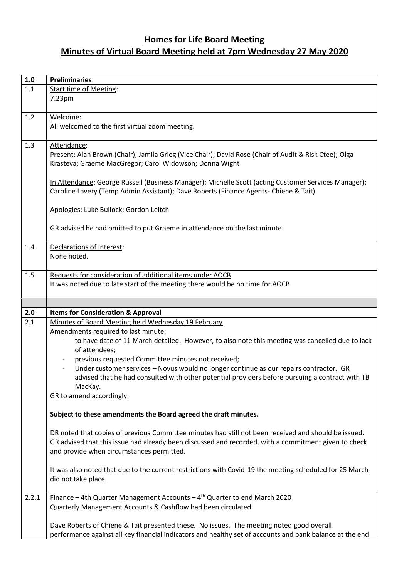## **Homes for Life Board Meeting Minutes of Virtual Board Meeting held at 7pm Wednesday 27 May 2020**

| $1.0\,$ | <b>Preliminaries</b>                                                                                                                              |
|---------|---------------------------------------------------------------------------------------------------------------------------------------------------|
| 1.1     | <b>Start time of Meeting:</b>                                                                                                                     |
|         | 7.23pm                                                                                                                                            |
|         |                                                                                                                                                   |
| 1.2     | Welcome:                                                                                                                                          |
|         | All welcomed to the first virtual zoom meeting.                                                                                                   |
| 1.3     | Attendance:                                                                                                                                       |
|         | Present: Alan Brown (Chair); Jamila Grieg (Vice Chair); David Rose (Chair of Audit & Risk Ctee); Olga                                             |
|         | Krasteva; Graeme MacGregor; Carol Widowson; Donna Wight                                                                                           |
|         |                                                                                                                                                   |
|         | In Attendance: George Russell (Business Manager); Michelle Scott (acting Customer Services Manager);                                              |
|         | Caroline Lavery (Temp Admin Assistant); Dave Roberts (Finance Agents- Chiene & Tait)                                                              |
|         | Apologies: Luke Bullock; Gordon Leitch                                                                                                            |
|         |                                                                                                                                                   |
|         | GR advised he had omitted to put Graeme in attendance on the last minute.                                                                         |
|         |                                                                                                                                                   |
| 1.4     | Declarations of Interest:                                                                                                                         |
|         | None noted.                                                                                                                                       |
|         |                                                                                                                                                   |
| 1.5     | Requests for consideration of additional items under AOCB<br>It was noted due to late start of the meeting there would be no time for AOCB.       |
|         |                                                                                                                                                   |
|         |                                                                                                                                                   |
|         |                                                                                                                                                   |
| 2.0     | <b>Items for Consideration &amp; Approval</b>                                                                                                     |
| 2.1     | Minutes of Board Meeting held Wednesday 19 February                                                                                               |
|         | Amendments required to last minute:                                                                                                               |
|         | to have date of 11 March detailed. However, to also note this meeting was cancelled due to lack                                                   |
|         | of attendees;                                                                                                                                     |
|         | previous requested Committee minutes not received;                                                                                                |
|         | Under customer services - Novus would no longer continue as our repairs contractor. GR                                                            |
|         | advised that he had consulted with other potential providers before pursuing a contract with TB<br>MacKay.                                        |
|         | GR to amend accordingly.                                                                                                                          |
|         |                                                                                                                                                   |
|         | Subject to these amendments the Board agreed the draft minutes.                                                                                   |
|         |                                                                                                                                                   |
|         | DR noted that copies of previous Committee minutes had still not been received and should be issued.                                              |
|         | GR advised that this issue had already been discussed and recorded, with a commitment given to check<br>and provide when circumstances permitted. |
|         |                                                                                                                                                   |
|         | It was also noted that due to the current restrictions with Covid-19 the meeting scheduled for 25 March                                           |
|         | did not take place.                                                                                                                               |
|         |                                                                                                                                                   |
| 2.2.1   | Finance - 4th Quarter Management Accounts - 4 <sup>th</sup> Quarter to end March 2020                                                             |
|         | Quarterly Management Accounts & Cashflow had been circulated.                                                                                     |
|         | Dave Roberts of Chiene & Tait presented these. No issues. The meeting noted good overall                                                          |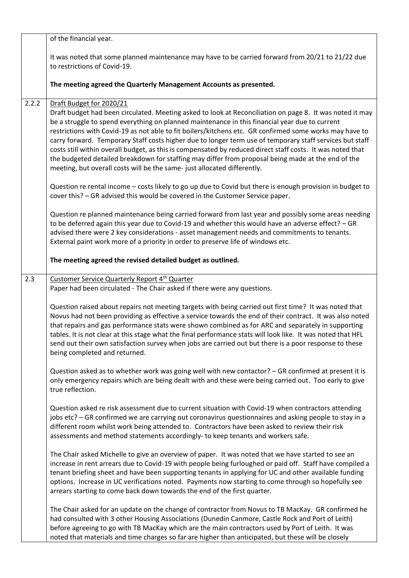|       | of the financial year.                                                                                                                                                                                                                                                                                                                                                                                                                                                                                                                                                                                                                                                                                                                                        |
|-------|---------------------------------------------------------------------------------------------------------------------------------------------------------------------------------------------------------------------------------------------------------------------------------------------------------------------------------------------------------------------------------------------------------------------------------------------------------------------------------------------------------------------------------------------------------------------------------------------------------------------------------------------------------------------------------------------------------------------------------------------------------------|
|       | It was noted that some planned maintenance may have to be carried forward from 20/21 to 21/22 due<br>to restrictions of Covid-19.                                                                                                                                                                                                                                                                                                                                                                                                                                                                                                                                                                                                                             |
|       | The meeting agreed the Quarterly Management Accounts as presented.                                                                                                                                                                                                                                                                                                                                                                                                                                                                                                                                                                                                                                                                                            |
| 2.2.2 | Draft Budget for 2020/21<br>Draft budget had been circulated. Meeting asked to look at Reconciliation on page 8. It was noted it may<br>be a struggle to spend everything on planned maintenance in this financial year due to current<br>restrictions with Covid-19 as not able to fit boilers/kitchens etc. GR confirmed some works may have to<br>carry forward. Temporary Staff costs higher due to longer term use of temporary staff services but staff<br>costs still within overall budget, as this is compensated by reduced direct staff costs. It was noted that<br>the budgeted detailed breakdown for staffing may differ from proposal being made at the end of the<br>meeting, but overall costs will be the same- just allocated differently. |
|       | Question re rental income - costs likely to go up due to Covid but there is enough provision in budget to<br>cover this? - GR advised this would be covered in the Customer Service paper.                                                                                                                                                                                                                                                                                                                                                                                                                                                                                                                                                                    |
|       | Question re planned maintenance being carried forward from last year and possibly some areas needing<br>to be deferred again this year due to Covid-19 and whether this would have an adverse effect? - GR<br>advised there were 2 key considerations - asset management needs and commitments to tenants.<br>External paint work more of a priority in order to preserve life of windows etc.                                                                                                                                                                                                                                                                                                                                                                |
|       | The meeting agreed the revised detailed budget as outlined.                                                                                                                                                                                                                                                                                                                                                                                                                                                                                                                                                                                                                                                                                                   |
| 2.3   | Customer Service Quarterly Report 4 <sup>th</sup> Quarter<br>Paper had been circulated - The Chair asked if there were any questions.                                                                                                                                                                                                                                                                                                                                                                                                                                                                                                                                                                                                                         |
|       | Question raised about repairs not meeting targets with being carried out first time? It was noted that<br>Novus had not been providing as effective a service towards the end of their contract. It was also noted<br>that repairs and gas performance stats were shown combined as for ARC and separately in supporting<br>tables. It is not clear at this stage what the final performance stats will look like. It was noted that HFL<br>send out their own satisfaction survey when jobs are carried out but there is a poor response to these<br>being completed and returned.                                                                                                                                                                           |
|       | Question asked as to whether work was going well with new contactor? - GR confirmed at present it is<br>only emergency repairs which are being dealt with and these were being carried out. Too early to give<br>true reflection.                                                                                                                                                                                                                                                                                                                                                                                                                                                                                                                             |
|       | Question asked re risk assessment due to current situation with Covid-19 when contractors attending<br>jobs etc? - GR confirmed we are carrying out coronavirus questionnaires and asking people to stay in a<br>different room whilst work being attended to. Contractors have been asked to review their risk<br>assessments and method statements accordingly- to keep tenants and workers safe.                                                                                                                                                                                                                                                                                                                                                           |
|       | The Chair asked Michelle to give an overview of paper. It was noted that we have started to see an<br>increase in rent arrears due to Covid-19 with people being furloughed or paid off. Staff have compiled a<br>tenant briefing sheet and have been supporting tenants in applying for UC and other available funding<br>options. Increase in UC verifications noted. Payments now starting to come through so hopefully see<br>arrears starting to come back down towards the end of the first quarter.                                                                                                                                                                                                                                                    |
|       | The Chair asked for an update on the change of contractor from Novus to TB MacKay. GR confirmed he<br>had consulted with 3 other Housing Associations (Dunedin Canmore, Castle Rock and Port of Leith)<br>before agreeing to go with TB MacKay which are the main contractors used by Port of Leith. It was<br>noted that materials and time charges so far are higher than anticipated, but these will be closely                                                                                                                                                                                                                                                                                                                                            |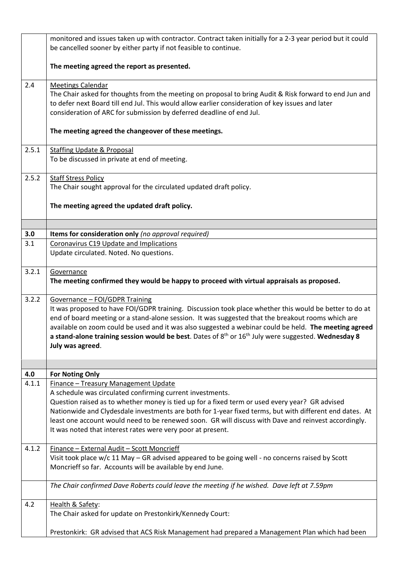|       | monitored and issues taken up with contractor. Contract taken initially for a 2-3 year period but it could<br>be cancelled sooner by either party if not feasible to continue.                                                                                                                                                                                                                                                                                                        |
|-------|---------------------------------------------------------------------------------------------------------------------------------------------------------------------------------------------------------------------------------------------------------------------------------------------------------------------------------------------------------------------------------------------------------------------------------------------------------------------------------------|
|       | The meeting agreed the report as presented.                                                                                                                                                                                                                                                                                                                                                                                                                                           |
| 2.4   | <b>Meetings Calendar</b><br>The Chair asked for thoughts from the meeting on proposal to bring Audit & Risk forward to end Jun and<br>to defer next Board till end Jul. This would allow earlier consideration of key issues and later<br>consideration of ARC for submission by deferred deadline of end Jul.                                                                                                                                                                        |
|       | The meeting agreed the changeover of these meetings.                                                                                                                                                                                                                                                                                                                                                                                                                                  |
| 2.5.1 | <b>Staffing Update &amp; Proposal</b><br>To be discussed in private at end of meeting.                                                                                                                                                                                                                                                                                                                                                                                                |
| 2.5.2 | <b>Staff Stress Policy</b><br>The Chair sought approval for the circulated updated draft policy.                                                                                                                                                                                                                                                                                                                                                                                      |
|       | The meeting agreed the updated draft policy.                                                                                                                                                                                                                                                                                                                                                                                                                                          |
| 3.0   | Items for consideration only (no approval required)                                                                                                                                                                                                                                                                                                                                                                                                                                   |
| 3.1   | Coronavirus C19 Update and Implications                                                                                                                                                                                                                                                                                                                                                                                                                                               |
|       | Update circulated. Noted. No questions.                                                                                                                                                                                                                                                                                                                                                                                                                                               |
| 3.2.1 | Governance<br>The meeting confirmed they would be happy to proceed with virtual appraisals as proposed.                                                                                                                                                                                                                                                                                                                                                                               |
| 3.2.2 | Governance - FOI/GDPR Training<br>It was proposed to have FOI/GDPR training. Discussion took place whether this would be better to do at<br>end of board meeting or a stand-alone session. It was suggested that the breakout rooms which are<br>available on zoom could be used and it was also suggested a webinar could be held. The meeting agreed<br>a stand-alone training session would be best. Dates of $8th$ or $16th$ July were suggested. Wednesday 8<br>July was agreed. |
|       |                                                                                                                                                                                                                                                                                                                                                                                                                                                                                       |
| 4.0   | <b>For Noting Only</b>                                                                                                                                                                                                                                                                                                                                                                                                                                                                |
| 4.1.1 | Finance - Treasury Management Update<br>A schedule was circulated confirming current investments.<br>Question raised as to whether money is tied up for a fixed term or used every year? GR advised<br>Nationwide and Clydesdale investments are both for 1-year fixed terms, but with different end dates. At<br>least one account would need to be renewed soon. GR will discuss with Dave and reinvest accordingly.<br>It was noted that interest rates were very poor at present. |
| 4.1.2 | Finance - External Audit - Scott Moncrieff<br>Visit took place w/c 11 May - GR advised appeared to be going well - no concerns raised by Scott<br>Moncrieff so far. Accounts will be available by end June.                                                                                                                                                                                                                                                                           |
|       | The Chair confirmed Dave Roberts could leave the meeting if he wished. Dave left at 7.59pm                                                                                                                                                                                                                                                                                                                                                                                            |
| 4.2   | Health & Safety:<br>The Chair asked for update on Prestonkirk/Kennedy Court:                                                                                                                                                                                                                                                                                                                                                                                                          |
|       | Prestonkirk: GR advised that ACS Risk Management had prepared a Management Plan which had been                                                                                                                                                                                                                                                                                                                                                                                        |